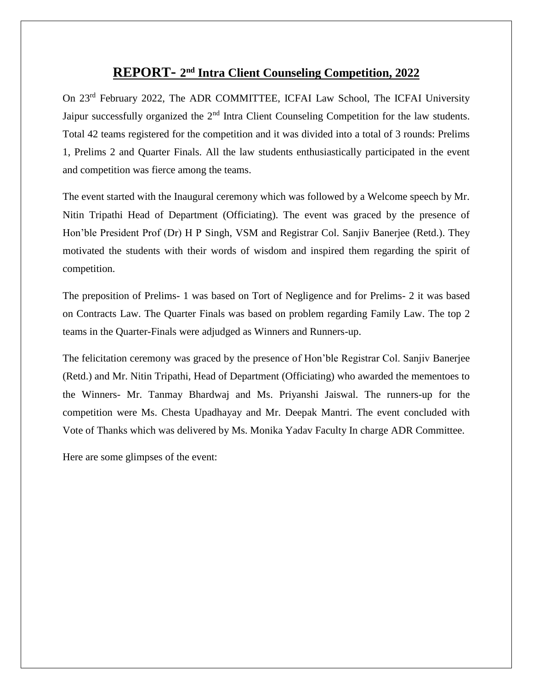## **REPORT- 2 nd Intra Client Counseling Competition, 2022**

On 23rd February 2022, The ADR COMMITTEE, ICFAI Law School, The ICFAI University Jaipur successfully organized the 2<sup>nd</sup> Intra Client Counseling Competition for the law students. Total 42 teams registered for the competition and it was divided into a total of 3 rounds: Prelims 1, Prelims 2 and Quarter Finals. All the law students enthusiastically participated in the event and competition was fierce among the teams.

The event started with the Inaugural ceremony which was followed by a Welcome speech by Mr. Nitin Tripathi Head of Department (Officiating). The event was graced by the presence of Hon'ble President Prof (Dr) H P Singh, VSM and Registrar Col. Sanjiv Banerjee (Retd.). They motivated the students with their words of wisdom and inspired them regarding the spirit of competition.

The preposition of Prelims- 1 was based on Tort of Negligence and for Prelims- 2 it was based on Contracts Law. The Quarter Finals was based on problem regarding Family Law. The top 2 teams in the Quarter-Finals were adjudged as Winners and Runners-up.

The felicitation ceremony was graced by the presence of Hon'ble Registrar Col. Sanjiv Banerjee (Retd.) and Mr. Nitin Tripathi, Head of Department (Officiating) who awarded the mementoes to the Winners- Mr. Tanmay Bhardwaj and Ms. Priyanshi Jaiswal. The runners-up for the competition were Ms. Chesta Upadhayay and Mr. Deepak Mantri. The event concluded with Vote of Thanks which was delivered by Ms. Monika Yadav Faculty In charge ADR Committee.

Here are some glimpses of the event: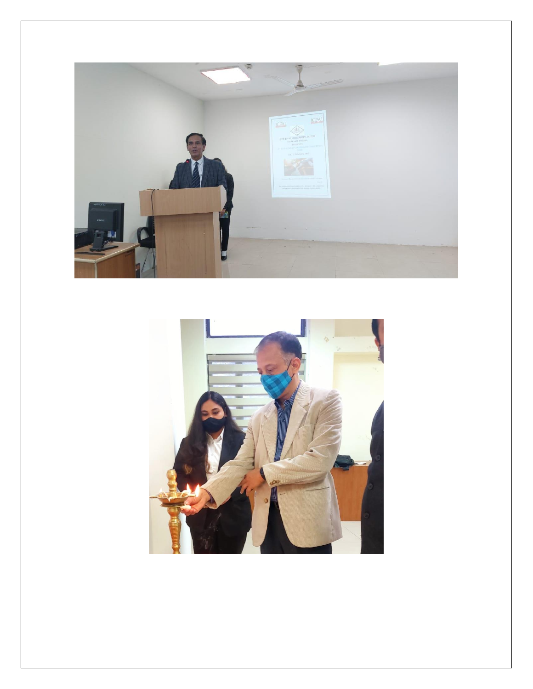